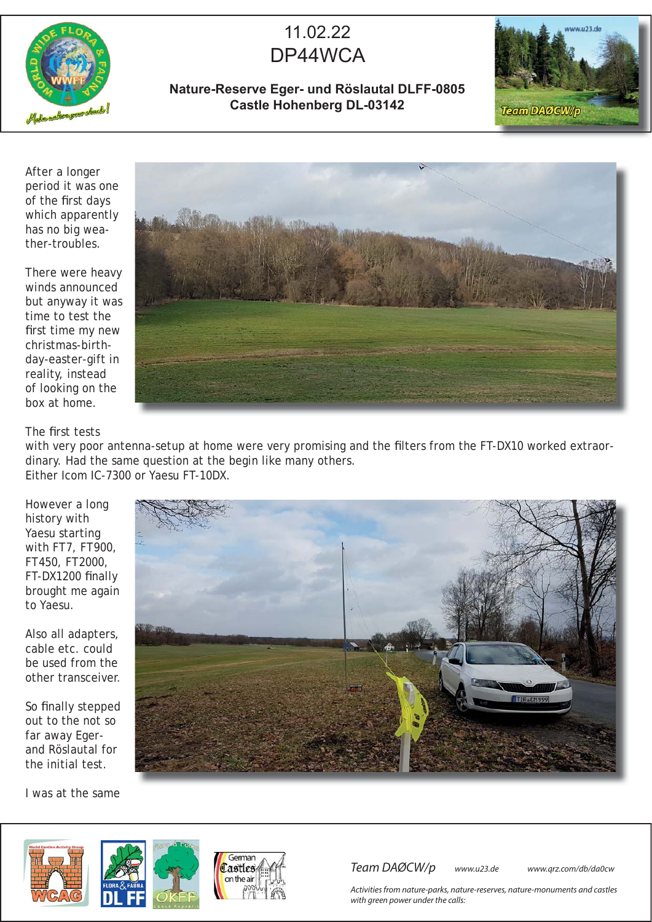

## 11.02.22 DP44WCA

## **Nature-Reserve Eger- und Röslautal DLFF-0805 Castle Hohenberg DL-03142**



After a longer period it was one of the first days which apparently has no big weather-troubles.

There were heavy winds announced but anyway it was time to test the first time my new christmas-birthday-easter-gift in reality, instead of looking on the box at home.



The first tests

with very poor antenna-setup at home were very promising and the filters from the FT-DX10 worked extraordinary. Had the same question at the begin like many others. Either Icom IC-7300 or Yaesu FT-10DX.

However a long history with Yaesu starting with FT7, FT900, FT450, FT2000, FT-DX1200 finally brought me again to Yaesu.

Also all adapters, cable etc. could be used from the other transceiver.

So finally stepped out to the not so far away Egerand Röslautal for the initial test.

I was at the same





Team DAØCW/p www.u23.de www.qrz.com/db/da0cw

Activities from nature-parks, nature-reserves, nature-monuments and castles with green power under the calls: